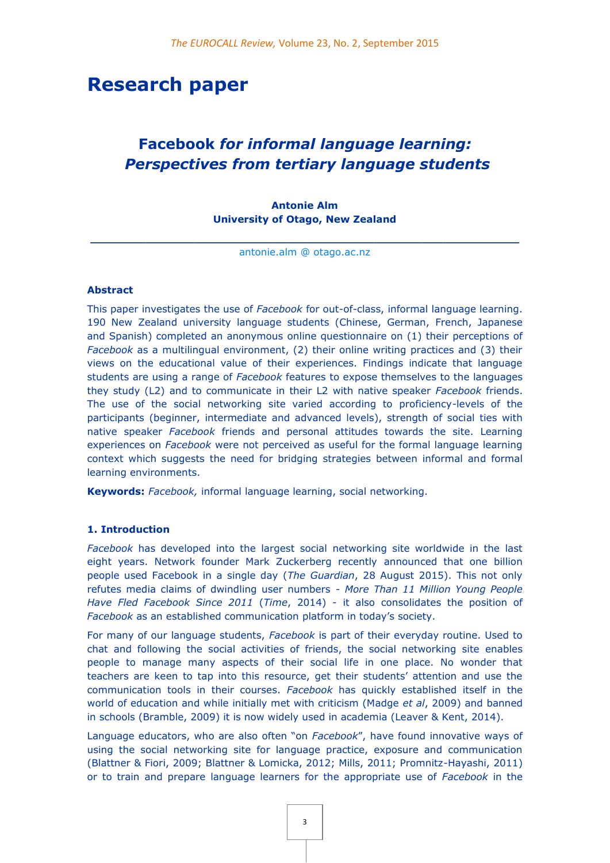# **Research paper**

## **Facebook** *for informal language learning: Perspectives from tertiary language students*

## **Antonie Alm University of Otago, New Zealand**

**\_\_\_\_\_\_\_\_\_\_\_\_\_\_\_\_\_\_\_\_\_\_\_\_\_\_\_\_\_\_\_\_\_\_\_\_\_\_\_\_\_\_\_\_\_\_\_\_\_\_\_\_\_\_\_\_\_\_\_\_\_\_** [antonie.alm @ otago.ac.nz](mailto:antonie.alm@otago.ac.nz)

#### **Abstract**

This paper investigates the use of *Facebook* for out-of-class, informal language learning. 190 New Zealand university language students (Chinese, German, French, Japanese and Spanish) completed an anonymous online questionnaire on (1) their perceptions of *Facebook* as a multilingual environment, (2) their online writing practices and (3) their views on the educational value of their experiences. Findings indicate that language students are using a range of *Facebook* features to expose themselves to the languages they study (L2) and to communicate in their L2 with native speaker *Facebook* friends. The use of the social networking site varied according to proficiency-levels of the participants (beginner, intermediate and advanced levels), strength of social ties with native speaker *Facebook* friends and personal attitudes towards the site. Learning experiences on *Facebook* were not perceived as useful for the formal language learning context which suggests the need for bridging strategies between informal and formal learning environments.

**Keywords:** *Facebook,* informal language learning, social networking.

#### **1. Introduction**

*Facebook* has developed into the largest social networking site worldwide in the last eight years. Network founder Mark Zuckerberg recently announced that one billion people used Facebook in a single day (*The Guardian*, 28 August 2015). This not only refutes media claims of dwindling user numbers - *More Than 11 Million Young People Have Fled Facebook Since 2011* (*Time*, 2014) - it also consolidates the position of *Facebook* as an established communication platform in today's society.

For many of our language students, *Facebook* is part of their everyday routine. Used to chat and following the social activities of friends, the social networking site enables people to manage many aspects of their social life in one place. No wonder that teachers are keen to tap into this resource, get their students' attention and use the communication tools in their courses. *Facebook* has quickly established itself in the world of education and while initially met with criticism (Madge *et al*, 2009) and banned in schools (Bramble, 2009) it is now widely used in academia (Leaver & Kent, 2014).

Language educators, who are also often "on *Facebook*", have found innovative ways of using the social networking site for language practice, exposure and communication (Blattner & Fiori, 2009; Blattner & Lomicka, 2012; Mills, 2011; Promnitz-Hayashi, 2011) or to train and prepare language learners for the appropriate use of *Facebook* in the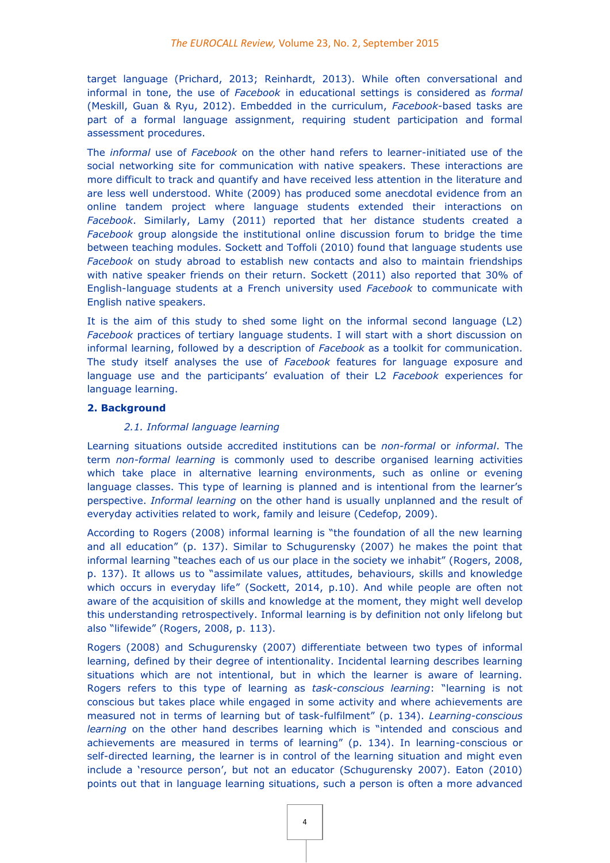target language (Prichard, 2013; Reinhardt, 2013). While often conversational and informal in tone, the use of *Facebook* in educational settings is considered as *formal* (Meskill, Guan & Ryu, 2012). Embedded in the curriculum, *Facebook*-based tasks are part of a formal language assignment, requiring student participation and formal assessment procedures.

The *informal* use of *Facebook* on the other hand refers to learner-initiated use of the social networking site for communication with native speakers. These interactions are more difficult to track and quantify and have received less attention in the literature and are less well understood. White (2009) has produced some anecdotal evidence from an online tandem project where language students extended their interactions on *Facebook*. Similarly, Lamy (2011) reported that her distance students created a *Facebook* group alongside the institutional online discussion forum to bridge the time between teaching modules. Sockett and Toffoli (2010) found that language students use *Facebook* on study abroad to establish new contacts and also to maintain friendships with native speaker friends on their return. Sockett (2011) also reported that 30% of English-language students at a French university used *Facebook* to communicate with English native speakers.

It is the aim of this study to shed some light on the informal second language (L2) *Facebook* practices of tertiary language students. I will start with a short discussion on informal learning, followed by a description of *Facebook* as a toolkit for communication. The study itself analyses the use of *Facebook* features for language exposure and language use and the participants' evaluation of their L2 *Facebook* experiences for language learning.

#### **2. Background**

#### *2.1. Informal language learning*

Learning situations outside accredited institutions can be *non-formal* or *informal*. The term *non-formal learning* is commonly used to describe organised learning activities which take place in alternative learning environments, such as online or evening language classes. This type of learning is planned and is intentional from the learner's perspective. *Informal learning* on the other hand is usually unplanned and the result of everyday activities related to work, family and leisure (Cedefop, 2009).

According to Rogers (2008) informal learning is "the foundation of all the new learning and all education" (p. 137). Similar to Schugurensky (2007) he makes the point that informal learning "teaches each of us our place in the society we inhabit" (Rogers, 2008, p. 137). It allows us to "assimilate values, attitudes, behaviours, skills and knowledge which occurs in everyday life" (Sockett, 2014, p.10). And while people are often not aware of the acquisition of skills and knowledge at the moment, they might well develop this understanding retrospectively. Informal learning is by definition not only lifelong but also "lifewide" (Rogers, 2008, p. 113).

Rogers (2008) and Schugurensky (2007) differentiate between two types of informal learning, defined by their degree of intentionality. Incidental learning describes learning situations which are not intentional, but in which the learner is aware of learning. Rogers refers to this type of learning as *task-conscious learning*: "learning is not conscious but takes place while engaged in some activity and where achievements are measured not in terms of learning but of task-fulfilment" (p. 134). *Learning-conscious learning* on the other hand describes learning which is "intended and conscious and achievements are measured in terms of learning" (p. 134). In learning-conscious or self-directed learning, the learner is in control of the learning situation and might even include a 'resource person', but not an educator (Schugurensky 2007). Eaton (2010) points out that in language learning situations, such a person is often a more advanced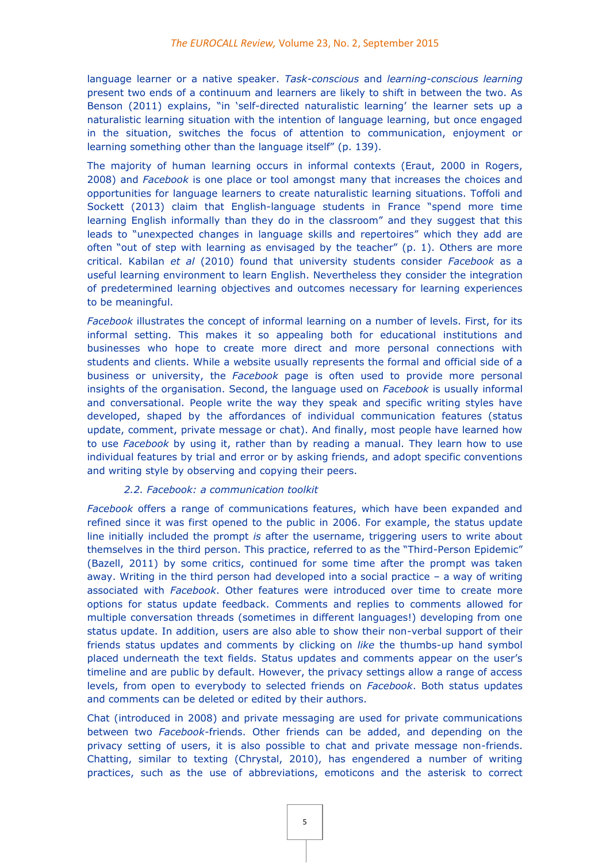language learner or a native speaker. *Task-conscious* and *learning-conscious learning* present two ends of a continuum and learners are likely to shift in between the two. As Benson (2011) explains, "in 'self-directed naturalistic learning' the learner sets up a naturalistic learning situation with the intention of language learning, but once engaged in the situation, switches the focus of attention to communication, enjoyment or learning something other than the language itself" (p. 139).

The majority of human learning occurs in informal contexts (Eraut, 2000 in Rogers, 2008) and *Facebook* is one place or tool amongst many that increases the choices and opportunities for language learners to create naturalistic learning situations. Toffoli and Sockett (2013) claim that English-language students in France "spend more time learning English informally than they do in the classroom" and they suggest that this leads to "unexpected changes in language skills and repertoires" which they add are often "out of step with learning as envisaged by the teacher" (p. 1). Others are more critical. Kabilan *et al* (2010) found that university students consider *Facebook* as a useful learning environment to learn English. Nevertheless they consider the integration of predetermined learning objectives and outcomes necessary for learning experiences to be meaningful.

*Facebook* illustrates the concept of informal learning on a number of levels. First, for its informal setting. This makes it so appealing both for educational institutions and businesses who hope to create more direct and more personal connections with students and clients. While a website usually represents the formal and official side of a business or university, the *Facebook* page is often used to provide more personal insights of the organisation. Second, the language used on *Facebook* is usually informal and conversational. People write the way they speak and specific writing styles have developed, shaped by the affordances of individual communication features (status update, comment, private message or chat). And finally, most people have learned how to use *Facebook* by using it, rather than by reading a manual. They learn how to use individual features by trial and error or by asking friends, and adopt specific conventions and writing style by observing and copying their peers.

#### *2.2. Facebook: a communication toolkit*

*Facebook* offers a range of communications features, which have been expanded and refined since it was first opened to the public in 2006. For example, the status update line initially included the prompt *is* after the username, triggering users to write about themselves in the third person. This practice, referred to as the "Third-Person Epidemic" (Bazell, 2011) by some critics, continued for some time after the prompt was taken away. Writing in the third person had developed into a social practice – a way of writing associated with *Facebook*. Other features were introduced over time to create more options for status update feedback. Comments and replies to comments allowed for multiple conversation threads (sometimes in different languages!) developing from one status update. In addition, users are also able to show their non-verbal support of their friends status updates and comments by clicking on *like* the thumbs-up hand symbol placed underneath the text fields. Status updates and comments appear on the user's timeline and are public by default. However, the privacy settings allow a range of access levels, from open to everybody to selected friends on *Facebook*. Both status updates and comments can be deleted or edited by their authors.

Chat (introduced in 2008) and private messaging are used for private communications between two *Facebook*-friends. Other friends can be added, and depending on the privacy setting of users, it is also possible to chat and private message non-friends. Chatting, similar to texting (Chrystal, 2010), has engendered a number of writing practices, such as the use of abbreviations, emoticons and the asterisk to correct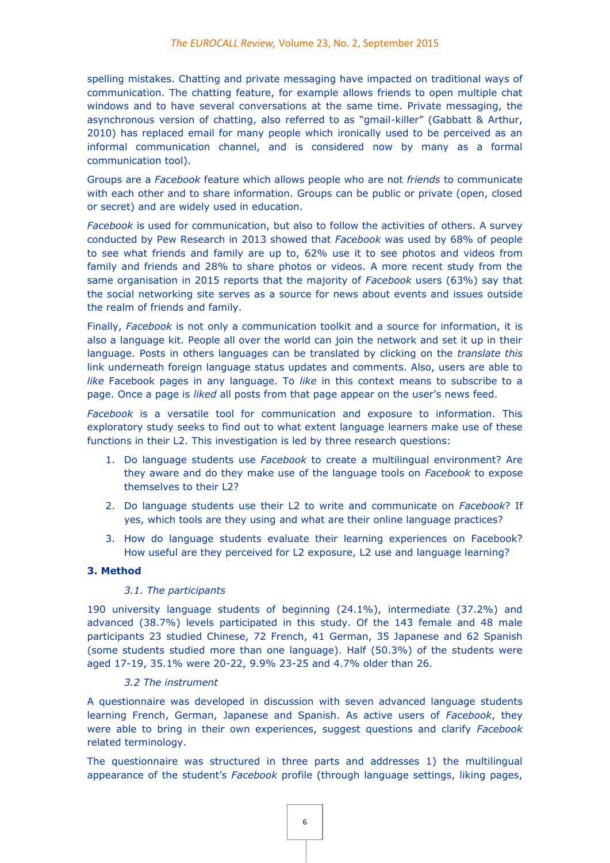spelling mistakes. Chatting and private messaging have impacted on traditional ways of communication. The chatting feature, for example allows friends to open multiple chat windows and to have several conversations at the same time. Private messaging, the asynchronous version of chatting, also referred to as "gmail-killer" (Gabbatt & Arthur, 2010) has replaced email for many people which ironically used to be perceived as an informal communication channel, and is considered now by many as a formal communication tool).

Groups are a *Facebook* feature which allows people who are not *friends* to communicate with each other and to share information. Groups can be public or private (open, closed or secret) and are widely used in education.

*Facebook* is used for communication, but also to follow the activities of others. A survey conducted by Pew Research in 2013 showed that *Facebook* was used by 68% of people to see what friends and family are up to, 62% use it to see photos and videos from family and friends and 28% to share photos or videos. A more recent study from the same organisation in 2015 reports that the majority of *Facebook* users (63%) say that the social networking site serves as a source for news about events and issues outside the realm of friends and family.

Finally, *Facebook* is not only a communication toolkit and a source for information, it is also a language kit. People all over the world can join the network and set it up in their language. Posts in others languages can be translated by clicking on the *translate this* link underneath foreign language status updates and comments. Also, users are able to *like* Facebook pages in any language. To *like* in this context means to subscribe to a page. Once a page is *liked* all posts from that page appear on the user's news feed.

*Facebook* is a versatile tool for communication and exposure to information. This exploratory study seeks to find out to what extent language learners make use of these functions in their L2. This investigation is led by three research questions:

- 1. Do language students use *Facebook* to create a multilingual environment? Are they aware and do they make use of the language tools on *Facebook* to expose themselves to their L2?
- 2. Do language students use their L2 to write and communicate on *Facebook*? If yes, which tools are they using and what are their online language practices?
- 3. How do language students evaluate their learning experiences on Facebook? How useful are they perceived for L2 exposure, L2 use and language learning?

## **3. Method**

#### *3.1. The participants*

190 university language students of beginning (24.1%), intermediate (37.2%) and advanced (38.7%) levels participated in this study. Of the 143 female and 48 male participants 23 studied Chinese, 72 French, 41 German, 35 Japanese and 62 Spanish (some students studied more than one language). Half (50.3%) of the students were aged 17-19, 35.1% were 20-22, 9.9% 23-25 and 4.7% older than 26.

#### *3.2 The instrument*

A questionnaire was developed in discussion with seven advanced language students learning French, German, Japanese and Spanish. As active users of *Facebook*, they were able to bring in their own experiences, suggest questions and clarify *Facebook* related terminology.

The questionnaire was structured in three parts and addresses 1) the multilingual appearance of the student's *Facebook* profile (through language settings, liking pages,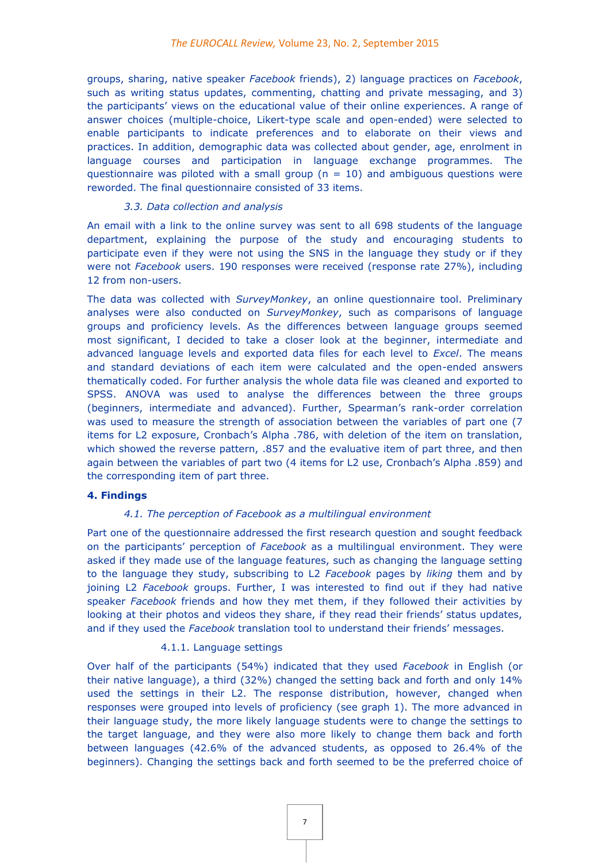groups, sharing, native speaker *Facebook* friends), 2) language practices on *Facebook*, such as writing status updates, commenting, chatting and private messaging, and 3) the participants' views on the educational value of their online experiences. A range of answer choices (multiple-choice, Likert-type scale and open-ended) were selected to enable participants to indicate preferences and to elaborate on their views and practices. In addition, demographic data was collected about gender, age, enrolment in language courses and participation in language exchange programmes. The questionnaire was piloted with a small group ( $n = 10$ ) and ambiguous questions were reworded. The final questionnaire consisted of 33 items.

#### *3.3. Data collection and analysis*

An email with a link to the online survey was sent to all 698 students of the language department, explaining the purpose of the study and encouraging students to participate even if they were not using the SNS in the language they study or if they were not *Facebook* users. 190 responses were received (response rate 27%), including 12 from non-users.

The data was collected with *SurveyMonkey*, an online questionnaire tool. Preliminary analyses were also conducted on *SurveyMonkey*, such as comparisons of language groups and proficiency levels. As the differences between language groups seemed most significant, I decided to take a closer look at the beginner, intermediate and advanced language levels and exported data files for each level to *Excel*. The means and standard deviations of each item were calculated and the open-ended answers thematically coded. For further analysis the whole data file was cleaned and exported to SPSS. ANOVA was used to analyse the differences between the three groups (beginners, intermediate and advanced). Further, Spearman's rank-order correlation was used to measure the strength of association between the variables of part one (7 items for L2 exposure, Cronbach's Alpha .786, with deletion of the item on translation, which showed the reverse pattern, .857 and the evaluative item of part three, and then again between the variables of part two (4 items for L2 use, Cronbach's Alpha .859) and the corresponding item of part three.

#### **4. Findings**

#### *4.1. The perception of Facebook as a multilingual environment*

Part one of the questionnaire addressed the first research question and sought feedback on the participants' perception of *Facebook* as a multilingual environment. They were asked if they made use of the language features, such as changing the language setting to the language they study, subscribing to L2 *Facebook* pages by *liking* them and by joining L2 *Facebook* groups. Further, I was interested to find out if they had native speaker *Facebook* friends and how they met them, if they followed their activities by looking at their photos and videos they share, if they read their friends' status updates, and if they used the *Facebook* translation tool to understand their friends' messages.

## 4.1.1. Language settings

Over half of the participants (54%) indicated that they used *Facebook* in English (or their native language), a third (32%) changed the setting back and forth and only 14% used the settings in their L2. The response distribution, however, changed when responses were grouped into levels of proficiency (see graph 1). The more advanced in their language study, the more likely language students were to change the settings to the target language, and they were also more likely to change them back and forth between languages (42.6% of the advanced students, as opposed to 26.4% of the beginners). Changing the settings back and forth seemed to be the preferred choice of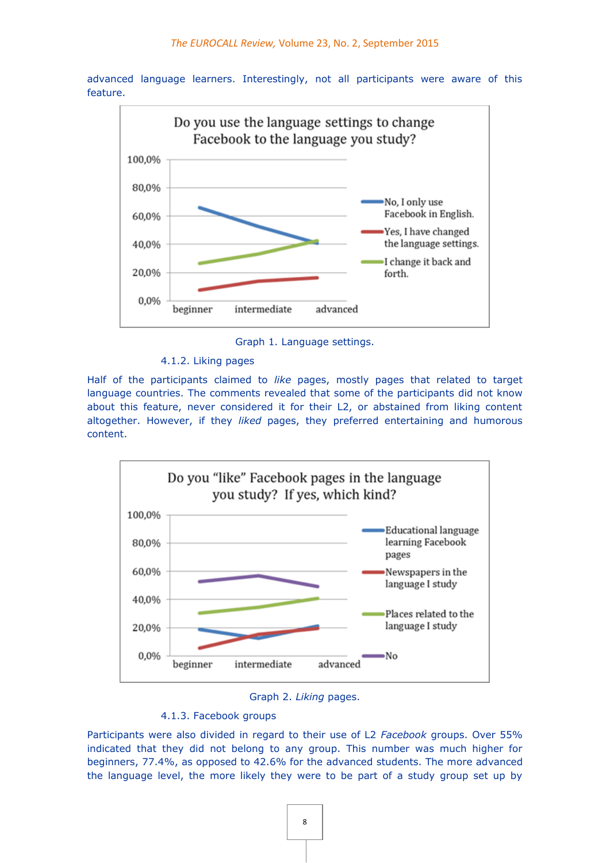advanced language learners. Interestingly, not all participants were aware of this feature.



Graph 1. Language settings.

4.1.2. Liking pages

Half of the participants claimed to *like* pages, mostly pages that related to target language countries. The comments revealed that some of the participants did not know about this feature, never considered it for their L2, or abstained from liking content altogether. However, if they *liked* pages, they preferred entertaining and humorous content.







Participants were also divided in regard to their use of L2 *Facebook* groups. Over 55% indicated that they did not belong to any group. This number was much higher for beginners, 77.4%, as opposed to 42.6% for the advanced students. The more advanced the language level, the more likely they were to be part of a study group set up by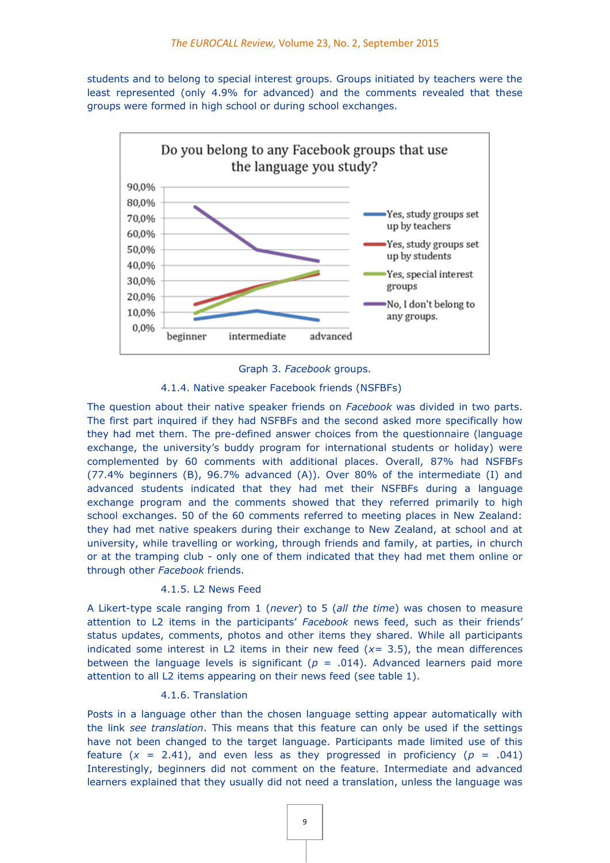students and to belong to special interest groups. Groups initiated by teachers were the least represented (only 4.9% for advanced) and the comments revealed that these groups were formed in high school or during school exchanges.





#### 4.1.4. Native speaker Facebook friends (NSFBFs)

The question about their native speaker friends on *Facebook* was divided in two parts. The first part inquired if they had NSFBFs and the second asked more specifically how they had met them. The pre-defined answer choices from the questionnaire (language exchange, the university's buddy program for international students or holiday) were complemented by 60 comments with additional places. Overall, 87% had NSFBFs (77.4% beginners (B), 96.7% advanced (A)). Over 80% of the intermediate (I) and advanced students indicated that they had met their NSFBFs during a language exchange program and the comments showed that they referred primarily to high school exchanges. 50 of the 60 comments referred to meeting places in New Zealand: they had met native speakers during their exchange to New Zealand, at school and at university, while travelling or working, through friends and family, at parties, in church or at the tramping club - only one of them indicated that they had met them online or through other *Facebook* friends.

## 4.1.5. L2 News Feed

A Likert-type scale ranging from 1 (*never*) to 5 (*all the time*) was chosen to measure attention to L2 items in the participants' *Facebook* news feed, such as their friends' status updates, comments, photos and other items they shared. While all participants indicated some interest in L2 items in their new feed (*x=* 3.5), the mean differences between the language levels is significant  $(p = .014)$ . Advanced learners paid more attention to all L2 items appearing on their news feed (see table 1).

## 4.1.6. Translation

Posts in a language other than the chosen language setting appear automatically with the link *see translation*. This means that this feature can only be used if the settings have not been changed to the target language. Participants made limited use of this feature  $(x = 2.41)$ , and even less as they progressed in proficiency  $(p = .041)$ Interestingly, beginners did not comment on the feature. Intermediate and advanced learners explained that they usually did not need a translation, unless the language was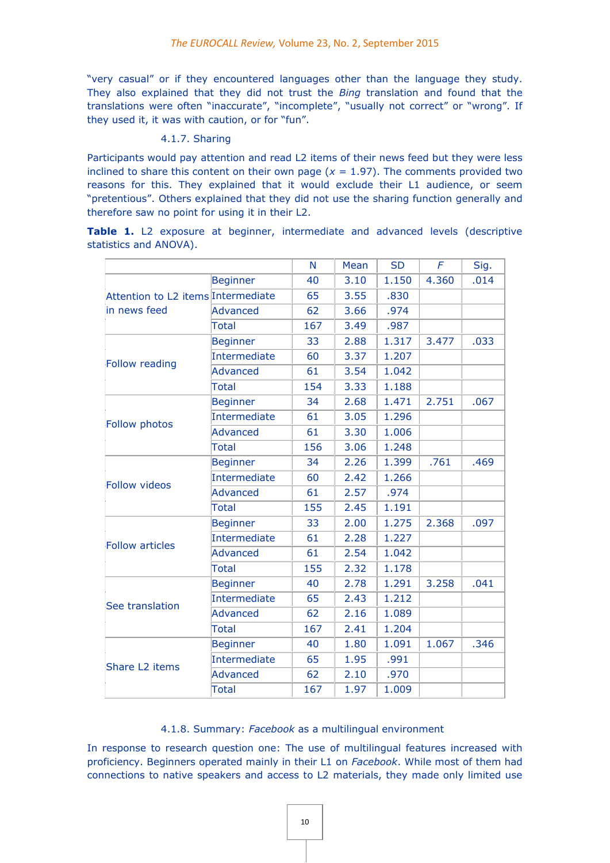"very casual" or if they encountered languages other than the language they study. They also explained that they did not trust the *Bing* translation and found that the translations were often "inaccurate", "incomplete", "usually not correct" or "wrong". If they used it, it was with caution, or for "fun".

#### 4.1.7. Sharing

Participants would pay attention and read L2 items of their news feed but they were less inclined to share this content on their own page ( $x = 1.97$ ). The comments provided two reasons for this. They explained that it would exclude their L1 audience, or seem "pretentious". Others explained that they did not use the sharing function generally and therefore saw no point for using it in their L2.

Table 1. L2 exposure at beginner, intermediate and advanced levels (descriptive statistics and ANOVA).

|                                                    |                     | N   | Mean | <b>SD</b> | F     | Sig. |
|----------------------------------------------------|---------------------|-----|------|-----------|-------|------|
| Attention to L2 items Intermediate<br>in news feed | <b>Beginner</b>     | 40  | 3.10 | 1.150     | 4.360 | .014 |
|                                                    |                     | 65  | 3.55 | .830      |       |      |
|                                                    | Advanced            | 62  | 3.66 | .974      |       |      |
|                                                    | <b>Total</b>        | 167 | 3.49 | .987      |       |      |
|                                                    | <b>Beginner</b>     | 33  | 2.88 | 1.317     | 3.477 | .033 |
| Follow reading                                     | <b>Intermediate</b> | 60  | 3.37 | 1.207     |       |      |
|                                                    | <b>Advanced</b>     | 61  | 3.54 | 1.042     |       |      |
|                                                    | <b>Total</b>        | 154 | 3.33 | 1.188     |       |      |
|                                                    | <b>Beginner</b>     | 34  | 2.68 | 1.471     | 2.751 | .067 |
| Follow photos                                      | Intermediate        | 61  | 3.05 | 1.296     |       |      |
|                                                    | Advanced            | 61  | 3.30 | 1.006     |       |      |
|                                                    | <b>Total</b>        | 156 | 3.06 | 1.248     |       |      |
|                                                    | <b>Beginner</b>     | 34  | 2.26 | 1.399     | .761  | .469 |
| <b>Follow videos</b>                               | <b>Intermediate</b> | 60  | 2.42 | 1.266     |       |      |
|                                                    | Advanced            | 61  | 2.57 | .974      |       |      |
|                                                    | Total               | 155 | 2.45 | 1.191     |       |      |
|                                                    | <b>Beginner</b>     | 33  | 2.00 | 1.275     | 2.368 | .097 |
| <b>Follow articles</b>                             | Intermediate        | 61  | 2.28 | 1.227     |       |      |
|                                                    | <b>Advanced</b>     | 61  | 2.54 | 1.042     |       |      |
|                                                    | <b>Total</b>        | 155 | 2.32 | 1.178     |       |      |
|                                                    | <b>Beginner</b>     | 40  | 2.78 | 1.291     | 3.258 | .041 |
| See translation                                    | Intermediate        | 65  | 2.43 | 1.212     |       |      |
|                                                    | <b>Advanced</b>     | 62  | 2.16 | 1.089     |       |      |
|                                                    | <b>Total</b>        | 167 | 2.41 | 1.204     |       |      |
|                                                    | <b>Beginner</b>     | 40  | 1.80 | 1.091     | 1.067 | .346 |
|                                                    | Intermediate        | 65  | 1.95 | .991      |       |      |
| Share L2 items                                     | Advanced            | 62  | 2.10 | .970      |       |      |
|                                                    | Total               | 167 | 1.97 | 1.009     |       |      |

#### 4.1.8. Summary: *Facebook* as a multilingual environment

In response to research question one: The use of multilingual features increased with proficiency. Beginners operated mainly in their L1 on *Facebook*. While most of them had connections to native speakers and access to L2 materials, they made only limited use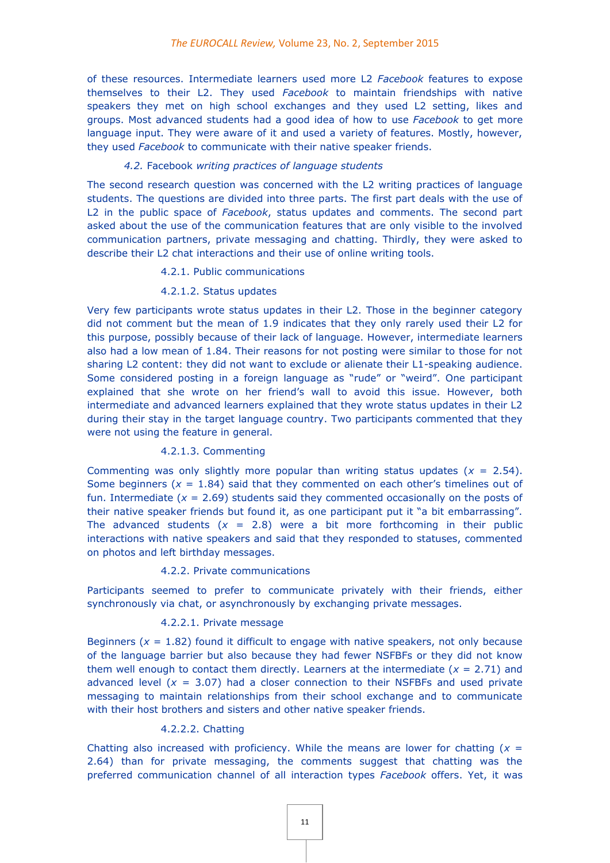of these resources. Intermediate learners used more L2 *Facebook* features to expose themselves to their L2. They used *Facebook* to maintain friendships with native speakers they met on high school exchanges and they used L2 setting, likes and groups. Most advanced students had a good idea of how to use *Facebook* to get more language input. They were aware of it and used a variety of features. Mostly, however, they used *Facebook* to communicate with their native speaker friends.

## *4.2.* Facebook *writing practices of language students*

The second research question was concerned with the L2 writing practices of language students. The questions are divided into three parts. The first part deals with the use of L2 in the public space of *Facebook*, status updates and comments. The second part asked about the use of the communication features that are only visible to the involved communication partners, private messaging and chatting. Thirdly, they were asked to describe their L2 chat interactions and their use of online writing tools.

#### 4.2.1. Public communications

#### 4.2.1.2. Status updates

Very few participants wrote status updates in their L2. Those in the beginner category did not comment but the mean of 1.9 indicates that they only rarely used their L2 for this purpose, possibly because of their lack of language. However, intermediate learners also had a low mean of 1.84. Their reasons for not posting were similar to those for not sharing L2 content: they did not want to exclude or alienate their L1-speaking audience. Some considered posting in a foreign language as "rude" or "weird". One participant explained that she wrote on her friend's wall to avoid this issue. However, both intermediate and advanced learners explained that they wrote status updates in their L2 during their stay in the target language country. Two participants commented that they were not using the feature in general.

#### 4.2.1.3. Commenting

Commenting was only slightly more popular than writing status updates  $(x = 2.54)$ . Some beginners  $(x = 1.84)$  said that they commented on each other's timelines out of fun. Intermediate  $(x = 2.69)$  students said they commented occasionally on the posts of their native speaker friends but found it, as one participant put it "a bit embarrassing". The advanced students  $(x = 2.8)$  were a bit more forthcoming in their public interactions with native speakers and said that they responded to statuses, commented on photos and left birthday messages.

#### 4.2.2. Private communications

Participants seemed to prefer to communicate privately with their friends, either synchronously via chat, or asynchronously by exchanging private messages.

## 4.2.2.1. Private message

Beginners  $(x = 1.82)$  found it difficult to engage with native speakers, not only because of the language barrier but also because they had fewer NSFBFs or they did not know them well enough to contact them directly. Learners at the intermediate  $(x = 2.71)$  and advanced level  $(x = 3.07)$  had a closer connection to their NSFBFs and used private messaging to maintain relationships from their school exchange and to communicate with their host brothers and sisters and other native speaker friends.

#### 4.2.2.2. Chatting

Chatting also increased with proficiency. While the means are lower for chatting  $(x =$ 2.64) than for private messaging, the comments suggest that chatting was the preferred communication channel of all interaction types *Facebook* offers. Yet, it was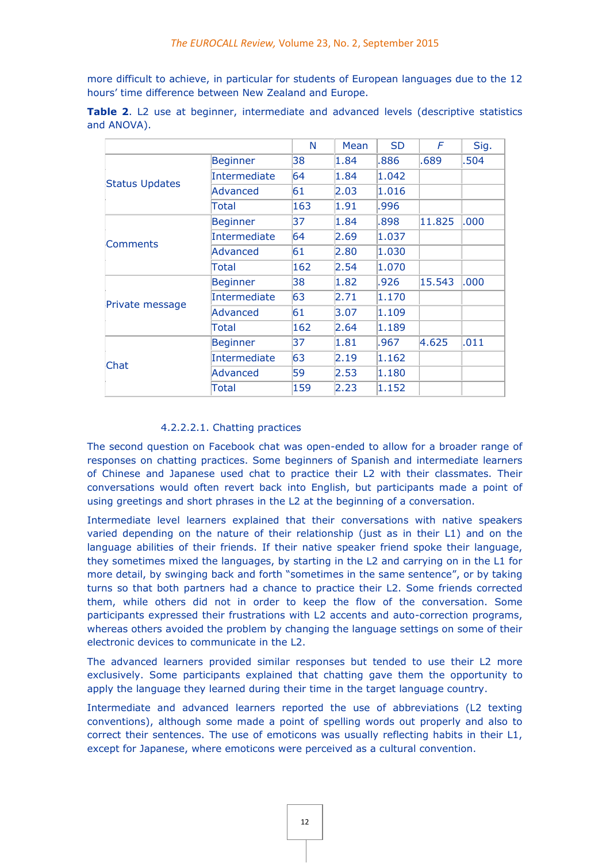more difficult to achieve, in particular for students of European languages due to the 12 hours' time difference between New Zealand and Europe.

|                       |                     | N   | Mean | <b>SD</b> | F      | Sig. |
|-----------------------|---------------------|-----|------|-----------|--------|------|
| <b>Status Updates</b> | <b>Beginner</b>     | 38  | 1.84 | .886      | .689   | .504 |
|                       | <b>Intermediate</b> | 64  | 1.84 | 1.042     |        |      |
|                       | <b>Advanced</b>     | 61  | 2.03 | 1.016     |        |      |
|                       | Total               | 163 | 1.91 | .996      |        |      |
|                       | <b>Beginner</b>     | 37  | 1.84 | .898      | 11.825 | .000 |
|                       | <b>Intermediate</b> | 64  | 2.69 | 1.037     |        |      |
| <b>Comments</b>       | Advanced            | 61  | 2.80 | 1.030     |        |      |
|                       | Total               | 162 | 2.54 | 1.070     |        |      |
|                       | <b>Beginner</b>     | 38  | 1.82 | .926      | 15.543 | .000 |
| Private message       | Intermediate        | 63  | 2.71 | 1.170     |        |      |
|                       | <b>Advanced</b>     | 61  | 3.07 | 1.109     |        |      |
|                       | Total               | 162 | 2.64 | 1.189     |        |      |
| Chat                  | <b>Beginner</b>     | 37  | 1.81 | .967      | 4.625  | .011 |
|                       | Intermediate        | 63  | 2.19 | 1.162     |        |      |
|                       | <b>Advanced</b>     | 59  | 2.53 | 1.180     |        |      |
|                       | Total               | 159 | 2.23 | 1.152     |        |      |

**Table 2.** L2 use at beginner, intermediate and advanced levels (descriptive statistics and ANOVA).

## 4.2.2.2.1. Chatting practices

The second question on Facebook chat was open-ended to allow for a broader range of responses on chatting practices. Some beginners of Spanish and intermediate learners of Chinese and Japanese used chat to practice their L2 with their classmates. Their conversations would often revert back into English, but participants made a point of using greetings and short phrases in the L2 at the beginning of a conversation.

Intermediate level learners explained that their conversations with native speakers varied depending on the nature of their relationship (just as in their L1) and on the language abilities of their friends. If their native speaker friend spoke their language, they sometimes mixed the languages, by starting in the L2 and carrying on in the L1 for more detail, by swinging back and forth "sometimes in the same sentence", or by taking turns so that both partners had a chance to practice their L2. Some friends corrected them, while others did not in order to keep the flow of the conversation. Some participants expressed their frustrations with L2 accents and auto-correction programs, whereas others avoided the problem by changing the language settings on some of their electronic devices to communicate in the L2.

The advanced learners provided similar responses but tended to use their L2 more exclusively. Some participants explained that chatting gave them the opportunity to apply the language they learned during their time in the target language country.

Intermediate and advanced learners reported the use of abbreviations (L2 texting conventions), although some made a point of spelling words out properly and also to correct their sentences. The use of emoticons was usually reflecting habits in their L1, except for Japanese, where emoticons were perceived as a cultural convention.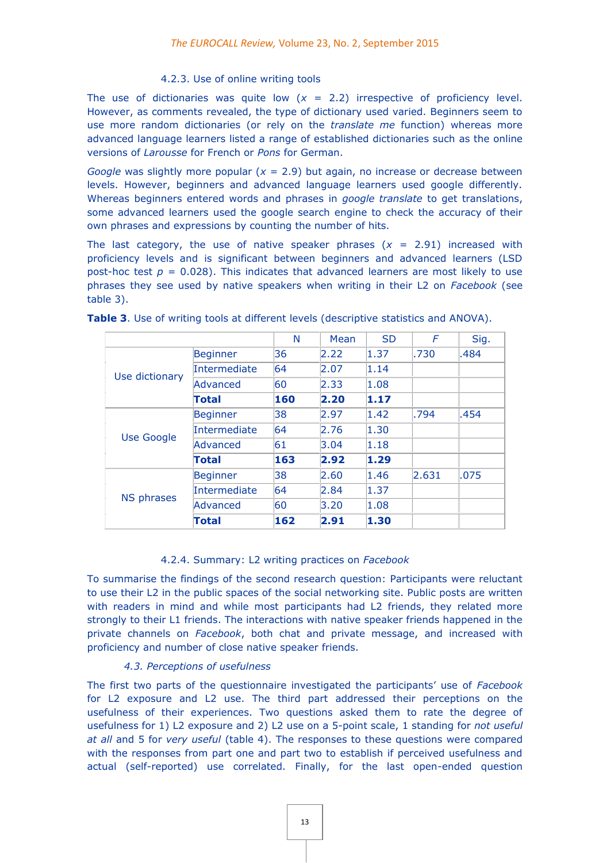## 4.2.3. Use of online writing tools

The use of dictionaries was quite low  $(x = 2.2)$  irrespective of proficiency level. However, as comments revealed, the type of dictionary used varied. Beginners seem to use more random dictionaries (or rely on the *translate me* function) whereas more advanced language learners listed a range of established dictionaries such as the online versions of *Larousse* for French or *Pons* for German.

*Google* was slightly more popular (*x* = 2.9) but again, no increase or decrease between levels. However, beginners and advanced language learners used google differently. Whereas beginners entered words and phrases in *google translate* to get translations, some advanced learners used the google search engine to check the accuracy of their own phrases and expressions by counting the number of hits.

The last category, the use of native speaker phrases  $(x = 2.91)$  increased with proficiency levels and is significant between beginners and advanced learners (LSD post-hoc test  $p = 0.028$ ). This indicates that advanced learners are most likely to use phrases they see used by native speakers when writing in their L2 on *Facebook* (see table 3).

|                   |                     | N   | Mean | <b>SD</b> | F     | Sig. |
|-------------------|---------------------|-----|------|-----------|-------|------|
| Use dictionary    | <b>Beginner</b>     | 36  | 2.22 | 1.37      | .730  | .484 |
|                   | <b>Intermediate</b> | 64  | 2.07 | 1.14      |       |      |
|                   | Advanced            | 60  | 2.33 | 1.08      |       |      |
|                   | Total               | 160 | 2.20 | 1.17      |       |      |
| Use Google        | <b>Beginner</b>     | 38  | 2.97 | 1.42      | .794  | .454 |
|                   | <b>Intermediate</b> | 64  | 2.76 | 1.30      |       |      |
|                   | Advanced            | 61  | 3.04 | 1.18      |       |      |
|                   | Total               | 163 | 2.92 | 1.29      |       |      |
| <b>NS phrases</b> | <b>Beginner</b>     | 38  | 2.60 | 1.46      | 2.631 | .075 |
|                   | <b>Intermediate</b> | 64  | 2.84 | 1.37      |       |      |
|                   | Advanced            | 60  | 3.20 | 1.08      |       |      |
|                   | Total               | 162 | 2.91 | 1.30      |       |      |

**Table 3**. Use of writing tools at different levels (descriptive statistics and ANOVA).

## 4.2.4. Summary: L2 writing practices on *Facebook*

To summarise the findings of the second research question: Participants were reluctant to use their L2 in the public spaces of the social networking site. Public posts are written with readers in mind and while most participants had L2 friends, they related more strongly to their L1 friends. The interactions with native speaker friends happened in the private channels on *Facebook*, both chat and private message, and increased with proficiency and number of close native speaker friends.

## *4.3. Perceptions of usefulness*

The first two parts of the questionnaire investigated the participants' use of *Facebook* for L2 exposure and L2 use. The third part addressed their perceptions on the usefulness of their experiences. Two questions asked them to rate the degree of usefulness for 1) L2 exposure and 2) L2 use on a 5-point scale, 1 standing for *not useful at all* and 5 for *very useful* (table 4). The responses to these questions were compared with the responses from part one and part two to establish if perceived usefulness and actual (self-reported) use correlated. Finally, for the last open-ended question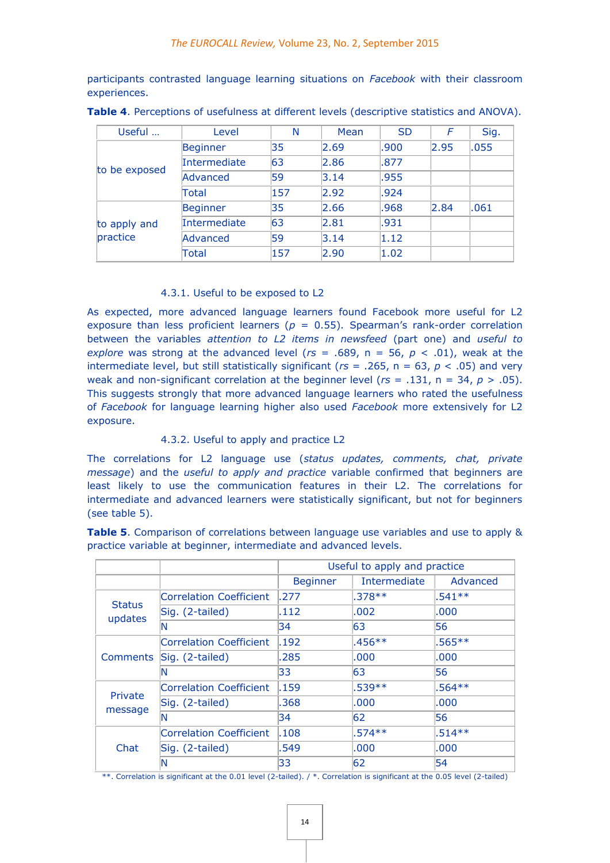participants contrasted language learning situations on *Facebook* with their classroom experiences.

| Useful                   | Level               | N   | Mean | <b>SD</b> | F    | Sig. |
|--------------------------|---------------------|-----|------|-----------|------|------|
| to be exposed            | Beginner            | 35  | 2.69 | .900      | 2.95 | .055 |
|                          | Intermediate        | 63  | 2.86 | .877      |      |      |
|                          | Advanced            | 59  | 3.14 | .955      |      |      |
|                          | Total               | 157 | 2.92 | .924      |      |      |
| to apply and<br>practice | Beginner            | 35  | 2.66 | .968      | 2.84 | .061 |
|                          | <b>Intermediate</b> | 63  | 2.81 | .931      |      |      |
|                          | Advanced            | 59  | 3.14 | 1.12      |      |      |
|                          | Total               | 157 | 2.90 | 1.02      |      |      |

**Table 4**. Perceptions of usefulness at different levels (descriptive statistics and ANOVA).

## 4.3.1. Useful to be exposed to L2

As expected, more advanced language learners found Facebook more useful for L2 exposure than less proficient learners ( $p = 0.55$ ). Spearman's rank-order correlation between the variables *attention to L2 items in newsfeed* (part one) and *useful to explore* was strong at the advanced level ( $rs = .689$ ,  $n = 56$ ,  $p < .01$ ), weak at the intermediate level, but still statistically significant ( $rs = .265$ ,  $n = 63$ ,  $p < .05$ ) and very weak and non-significant correlation at the beginner level (*rs* = .131, n = 34, *p* > .05). This suggests strongly that more advanced language learners who rated the usefulness of *Facebook* for language learning higher also used *Facebook* more extensively for L2 exposure.

## 4.3.2. Useful to apply and practice L2

The correlations for L2 language use (*status updates, comments, chat, private message*) and the *useful to apply and practice* variable confirmed that beginners are least likely to use the communication features in their L2. The correlations for intermediate and advanced learners were statistically significant, but not for beginners (see table 5).

**Table 5**. Comparison of correlations between language use variables and use to apply & practice variable at beginner, intermediate and advanced levels.

|                          |                                | Useful to apply and practice |                     |           |  |  |
|--------------------------|--------------------------------|------------------------------|---------------------|-----------|--|--|
|                          |                                | <b>Beginner</b>              | <b>Intermediate</b> | Advanced  |  |  |
|                          | <b>Correlation Coefficient</b> | .277                         | $.378**$            | $.541**$  |  |  |
| <b>Status</b><br>updates | Sig. (2-tailed)                | .112                         | .002                | .000      |  |  |
|                          | N                              | 34                           | 63                  | 56        |  |  |
|                          | <b>Correlation Coefficient</b> | .192                         | $.456**$            | $.565***$ |  |  |
| Comments                 | Sig. (2-tailed)                | .285                         | .000                | .000      |  |  |
|                          | N                              | 33                           | 63                  | 56        |  |  |
| Private<br>message       | <b>Correlation Coefficient</b> | .159                         | $.539**$            | $.564***$ |  |  |
|                          | Sig. (2-tailed)                | .368                         | .000                | .000      |  |  |
|                          | N                              | 34                           | 62                  | 56        |  |  |
| Chat                     | <b>Correlation Coefficient</b> | .108                         | $.574**$            | $.514**$  |  |  |
|                          | Sig. (2-tailed)                | .549                         | .000                | .000      |  |  |
|                          | N                              | 33                           | 62                  | 54        |  |  |

\*\*. Correlation is significant at the 0.01 level (2-tailed). / \*. Correlation is significant at the 0.05 level (2-tailed)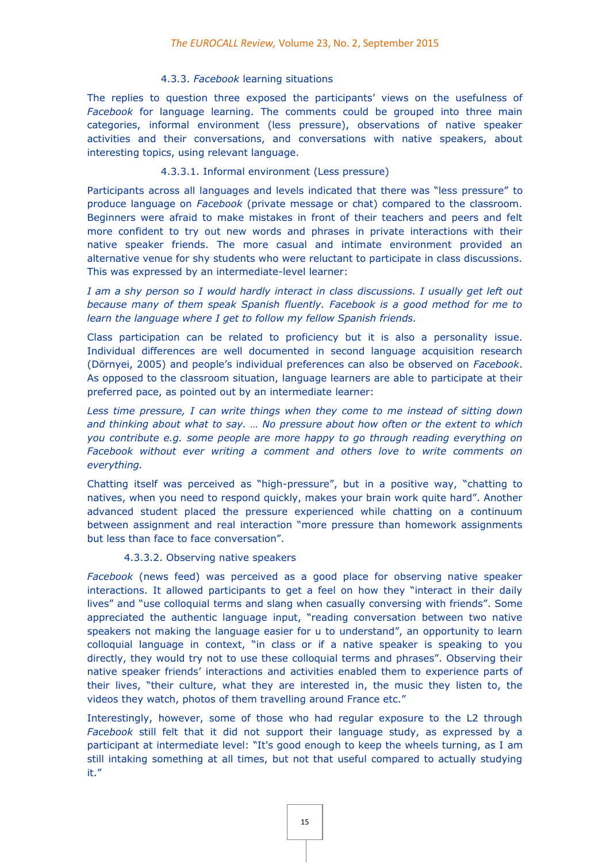#### 4.3.3. *Facebook* learning situations

The replies to question three exposed the participants' views on the usefulness of *Facebook* for language learning. The comments could be grouped into three main categories, informal environment (less pressure), observations of native speaker activities and their conversations, and conversations with native speakers, about interesting topics, using relevant language.

## 4.3.3.1. Informal environment (Less pressure)

Participants across all languages and levels indicated that there was "less pressure" to produce language on *Facebook* (private message or chat) compared to the classroom. Beginners were afraid to make mistakes in front of their teachers and peers and felt more confident to try out new words and phrases in private interactions with their native speaker friends. The more casual and intimate environment provided an alternative venue for shy students who were reluctant to participate in class discussions. This was expressed by an intermediate-level learner:

*I am a shy person so I would hardly interact in class discussions. I usually get left out because many of them speak Spanish fluently. Facebook is a good method for me to learn the language where I get to follow my fellow Spanish friends.* 

Class participation can be related to proficiency but it is also a personality issue. Individual differences are well documented in second language acquisition research (Dörnyei, 2005) and people's individual preferences can also be observed on *Facebook*. As opposed to the classroom situation, language learners are able to participate at their preferred pace, as pointed out by an intermediate learner:

*Less time pressure, I can write things when they come to me instead of sitting down and thinking about what to say. … No pressure about how often or the extent to which you contribute e.g. some people are more happy to go through reading everything on Facebook without ever writing a comment and others love to write comments on everything.* 

Chatting itself was perceived as "high-pressure", but in a positive way, "chatting to natives, when you need to respond quickly, makes your brain work quite hard". Another advanced student placed the pressure experienced while chatting on a continuum between assignment and real interaction "more pressure than homework assignments but less than face to face conversation".

#### 4.3.3.2. Observing native speakers

*Facebook* (news feed) was perceived as a good place for observing native speaker interactions. It allowed participants to get a feel on how they "interact in their daily lives" and "use colloquial terms and slang when casually conversing with friends". Some appreciated the authentic language input, "reading conversation between two native speakers not making the language easier for u to understand", an opportunity to learn colloquial language in context, "in class or if a native speaker is speaking to you directly, they would try not to use these colloquial terms and phrases". Observing their native speaker friends' interactions and activities enabled them to experience parts of their lives, "their culture, what they are interested in, the music they listen to, the videos they watch, photos of them travelling around France etc."

Interestingly, however, some of those who had regular exposure to the L2 through *Facebook* still felt that it did not support their language study, as expressed by a participant at intermediate level: "It's good enough to keep the wheels turning, as I am still intaking something at all times, but not that useful compared to actually studying it."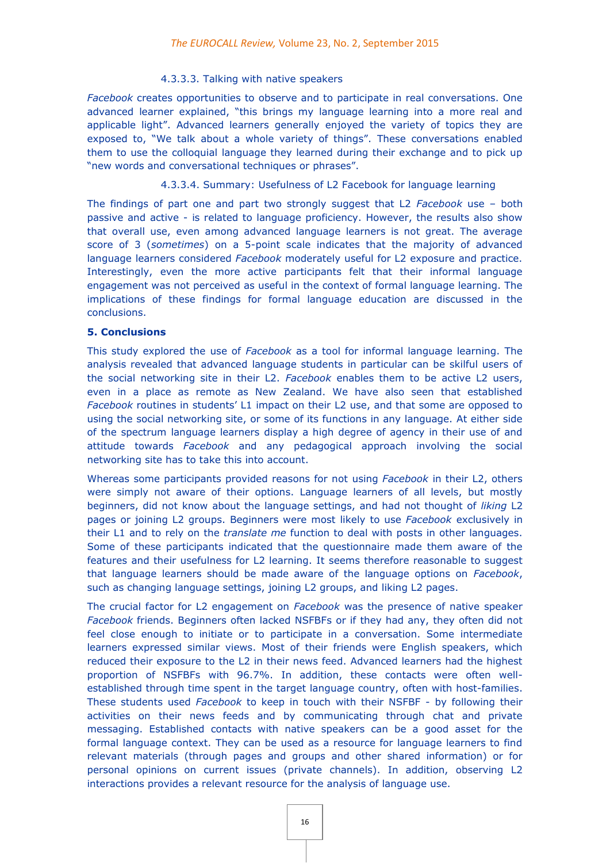#### 4.3.3.3. Talking with native speakers

*Facebook* creates opportunities to observe and to participate in real conversations. One advanced learner explained, "this brings my language learning into a more real and applicable light". Advanced learners generally enjoyed the variety of topics they are exposed to, "We talk about a whole variety of things". These conversations enabled them to use the colloquial language they learned during their exchange and to pick up "new words and conversational techniques or phrases".

4.3.3.4. Summary: Usefulness of L2 Facebook for language learning

The findings of part one and part two strongly suggest that L2 *Facebook* use – both passive and active - is related to language proficiency. However, the results also show that overall use, even among advanced language learners is not great. The average score of 3 (*sometimes*) on a 5-point scale indicates that the majority of advanced language learners considered *Facebook* moderately useful for L2 exposure and practice. Interestingly, even the more active participants felt that their informal language engagement was not perceived as useful in the context of formal language learning. The implications of these findings for formal language education are discussed in the conclusions.

## **5. Conclusions**

This study explored the use of *Facebook* as a tool for informal language learning. The analysis revealed that advanced language students in particular can be skilful users of the social networking site in their L2. *Facebook* enables them to be active L2 users, even in a place as remote as New Zealand. We have also seen that established *Facebook* routines in students' L1 impact on their L2 use, and that some are opposed to using the social networking site, or some of its functions in any language. At either side of the spectrum language learners display a high degree of agency in their use of and attitude towards *Facebook* and any pedagogical approach involving the social networking site has to take this into account.

Whereas some participants provided reasons for not using *Facebook* in their L2, others were simply not aware of their options. Language learners of all levels, but mostly beginners, did not know about the language settings, and had not thought of *liking* L2 pages or joining L2 groups. Beginners were most likely to use *Facebook* exclusively in their L1 and to rely on the *translate me* function to deal with posts in other languages. Some of these participants indicated that the questionnaire made them aware of the features and their usefulness for L2 learning. It seems therefore reasonable to suggest that language learners should be made aware of the language options on *Facebook*, such as changing language settings, joining L2 groups, and liking L2 pages.

The crucial factor for L2 engagement on *Facebook* was the presence of native speaker *Facebook* friends. Beginners often lacked NSFBFs or if they had any, they often did not feel close enough to initiate or to participate in a conversation. Some intermediate learners expressed similar views. Most of their friends were English speakers, which reduced their exposure to the L2 in their news feed. Advanced learners had the highest proportion of NSFBFs with 96.7%. In addition, these contacts were often wellestablished through time spent in the target language country, often with host-families. These students used *Facebook* to keep in touch with their NSFBF - by following their activities on their news feeds and by communicating through chat and private messaging. Established contacts with native speakers can be a good asset for the formal language context. They can be used as a resource for language learners to find relevant materials (through pages and groups and other shared information) or for personal opinions on current issues (private channels). In addition, observing L2 interactions provides a relevant resource for the analysis of language use.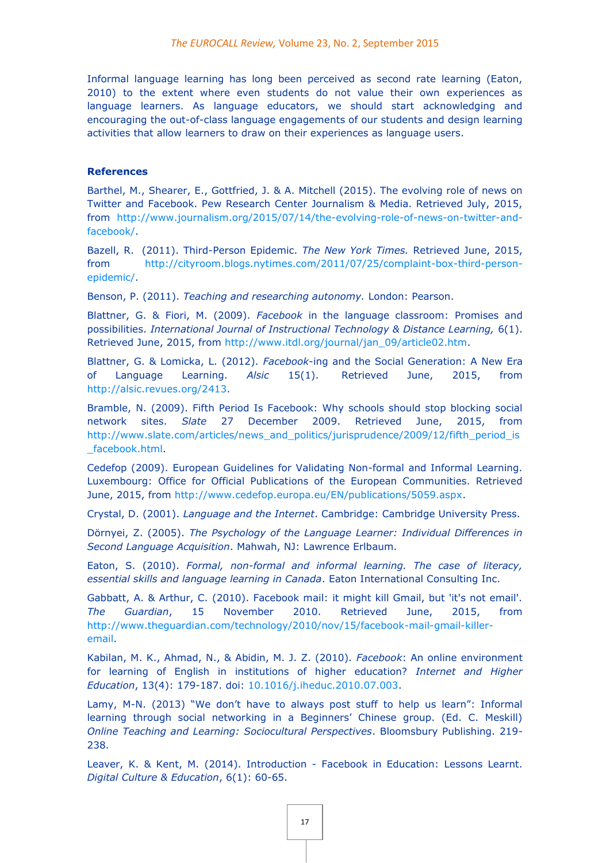Informal language learning has long been perceived as second rate learning (Eaton, 2010) to the extent where even students do not value their own experiences as language learners. As language educators, we should start acknowledging and encouraging the out-of-class language engagements of our students and design learning activities that allow learners to draw on their experiences as language users.

#### **References**

Barthel, M., Shearer, E., Gottfried, J. & A. Mitchell (2015). The evolving role of news on Twitter and Facebook. Pew Research Center Journalism & Media. Retrieved July, 2015, from [http://www.journalism.org/2015/07/14/the-evolving-role-of-news-on-twitter-and](http://www.journalism.org/2015/07/14/the-evolving-role-of-news-on-twitter-and-facebook/)[facebook/.](http://www.journalism.org/2015/07/14/the-evolving-role-of-news-on-twitter-and-facebook/)

Bazell, R. (2011). Third-Person Epidemic. *The New York Times.* Retrieved June, 2015, from [http://cityroom.blogs.nytimes.com/2011/07/25/complaint-box-third-person](http://cityroom.blogs.nytimes.com/2011/07/25/complaint-box-third-person-epidemic/)[epidemic/.](http://cityroom.blogs.nytimes.com/2011/07/25/complaint-box-third-person-epidemic/)

Benson, P. (2011). *Teaching and researching autonomy.* London: Pearson.

Blattner, G. & Fiori, M. (2009). *Facebook* in the language classroom: Promises and possibilities. *International Journal of Instructional Technology & Distance Learning,* 6(1). Retrieved June, 2015, from [http://www.itdl.org/journal/jan\\_09/article02.htm.](http://www.itdl.org/journal/jan_09/article02.htm)

Blattner, G. & Lomicka, L. (2012). *Facebook*-ing and the Social Generation: A New Era of Language Learning. *Alsic* 15(1). Retrieved June, 2015, from [http://alsic.revues.org/2413.](http://alsic.revues.org/2413)

Bramble, N. (2009). Fifth Period Is Facebook: Why schools should stop blocking social network sites. *Slate* 27 December 2009. Retrieved June, 2015, from [http://www.slate.com/articles/news\\_and\\_politics/jurisprudence/2009/12/fifth\\_period\\_is](http://www.slate.com/articles/news_and_politics/jurisprudence/2009/12/fifth_period_is_facebook.html) [\\_facebook.html.](http://www.slate.com/articles/news_and_politics/jurisprudence/2009/12/fifth_period_is_facebook.html)

Cedefop (2009). European Guidelines for Validating Non-formal and Informal Learning. Luxembourg: Office for Official Publications of the European Communities. Retrieved June, 2015, from [http://www.cedefop.europa.eu/EN/publications/5059.aspx.](http://www.cedefop.europa.eu/EN/publications/5059.aspx)

Crystal, D. (2001). *Language and the Internet*. Cambridge: Cambridge University Press.

Dörnyei, Z. (2005). *The Psychology of the Language Learner: Individual Differences in Second Language Acquisition*. Mahwah, NJ: Lawrence Erlbaum.

Eaton, S. (2010). *Formal, non-formal and informal learning. The case of literacy, essential skills and language learning in Canada*. Eaton International Consulting Inc.

Gabbatt, A. & Arthur, C. (2010). Facebook mail: it might kill Gmail, but 'it's not email'. *The Guardian*, 15 November 2010. Retrieved June, 2015, from [http://www.theguardian.com/technology/2010/nov/15/facebook-mail-gmail-killer](http://www.theguardian.com/technology/2010/nov/15/facebook-mail-gmail-killer-email)[email.](http://www.theguardian.com/technology/2010/nov/15/facebook-mail-gmail-killer-email)

Kabilan, M. K., Ahmad, N., & Abidin, M. J. Z. (2010). *Facebook*: An online environment for learning of English in institutions of higher education? *Internet and Higher Education*, 13(4): 179-187. doi: [10.1016/j.iheduc.2010.07.003.](http://dx.doi.org/10.1016/j.iheduc.2010.07.003)

Lamy, M-N. (2013) "We don't have to always post stuff to help us learn": Informal learning through social networking in a Beginners' Chinese group. (Ed. C. Meskill) *Online Teaching and Learning: Sociocultural Perspectives*. Bloomsbury Publishing. 219- 238.

Leaver, K. & Kent, M. (2014). Introduction - Facebook in Education: Lessons Learnt. *Digital Culture & Education*, 6(1): 60-65.